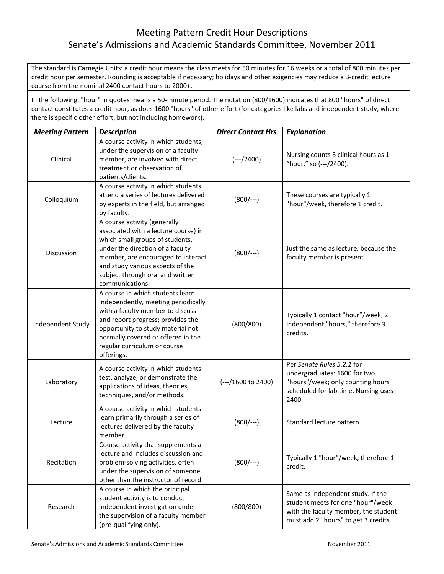## Meeting Pattern Credit Hour Descriptions Senate's Admissions and Academic Standards Committee, November 2011

The standard is Carnegie Units: a credit hour means the class meets for 50 minutes for 16 weeks or a total of 800 minutes per credit hour per semester. Rounding is acceptable if necessary; holidays and other exigencies may reduce a 3-credit lecture course from the nominal 2400 contact hours to 2000+.

In the following, "hour" in quotes means a 50-minute period. The notation (800/1600) indicates that 800 "hours" of direct contact constitutes a credit hour, as does 1600 "hours" of other effort (for categories like labs and independent study, where there is specific other effort, but not including homework).

| <b>Meeting Pattern</b> | <b>Description</b>                                                                                                                                                                                                                                                           | <b>Direct Contact Hrs</b> | <b>Explanation</b>                                                                                                                                     |
|------------------------|------------------------------------------------------------------------------------------------------------------------------------------------------------------------------------------------------------------------------------------------------------------------------|---------------------------|--------------------------------------------------------------------------------------------------------------------------------------------------------|
| Clinical               | A course activity in which students,<br>under the supervision of a faculty<br>member, are involved with direct<br>treatment or observation of<br>patients/clients.                                                                                                           | $(--2400)$                | Nursing counts 3 clinical hours as 1<br>"hour," so (---/2400).                                                                                         |
| Colloquium             | A course activity in which students<br>attend a series of lectures delivered<br>by experts in the field, but arranged<br>by faculty.                                                                                                                                         | $(800/---)$               | These courses are typically 1<br>"hour"/week, therefore 1 credit.                                                                                      |
| Discussion             | A course activity (generally<br>associated with a lecture course) in<br>which small groups of students,<br>under the direction of a faculty<br>member, are encouraged to interact<br>and study various aspects of the<br>subject through oral and written<br>communications. | $(800/---)$               | Just the same as lecture, because the<br>faculty member is present.                                                                                    |
| Independent Study      | A course in which students learn<br>independently, meeting periodically<br>with a faculty member to discuss<br>and report progress; provides the<br>opportunity to study material not<br>normally covered or offered in the<br>regular curriculum or course<br>offerings.    | (800/800)                 | Typically 1 contact "hour"/week, 2<br>independent "hours," therefore 3<br>credits.                                                                     |
| Laboratory             | A course activity in which students<br>test, analyze, or demonstrate the<br>applications of ideas, theories,<br>techniques, and/or methods.                                                                                                                                  | (---/1600 to 2400)        | Per Senate Rules 5.2.1 for<br>undergraduates: 1600 for two<br>"hours"/week; only counting hours<br>scheduled for lab time. Nursing uses<br>2400.       |
| Lecture                | A course activity in which students<br>learn primarily through a series of<br>lectures delivered by the faculty<br>member.                                                                                                                                                   | $(800/---)$               | Standard lecture pattern.                                                                                                                              |
| Recitation             | Course activity that supplements a<br>lecture and includes discussion and<br>problem-solving activities, often<br>under the supervision of someone<br>other than the instructor of record.                                                                                   | $(800/---)$               | Typically 1 "hour"/week, therefore 1<br>credit.                                                                                                        |
| Research               | A course in which the principal<br>student activity is to conduct<br>independent investigation under<br>the supervision of a faculty member<br>(pre-qualifying only).                                                                                                        | (800/800)                 | Same as independent study. If the<br>student meets for one "hour"/week<br>with the faculty member, the student<br>must add 2 "hours" to get 3 credits. |